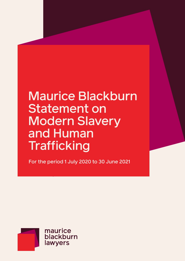# Maurice Blackburn Statement on Modern Slavery and Human **Trafficking**

For the period 1 July 2020 to 30 June 2021

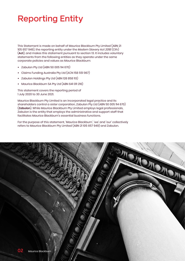# Reporting Entity

This Statement is made on behalf of Maurice Blackburn Pty Limited (ABN 21 105 657 949), the reporting entity under the *Modern Slavery Act 2018* (Cth) (**Act**), and makes this statement pursuant to section 13. It includes voluntary statements from the following entities as they operate under the same corporate policies and values as Maurice Blackburn:

- **•** Zabulon Pty Ltd (ABN 50 005 114 670)
- **•** Claims Funding Australia Pty Ltd (ACN 158 551 967)
- **•** Zabulon Holdings Pty Ltd (ABN 128 858 113)
- **•** Maurice Blackburn SA Pty Ltd (ABN 641 011 216)

This statement covers the reporting period of 1 July 2020 to 30 June 2021.

Maurice Blackburn Pty Limited is an incorporated legal practice and its shareholders control a sister corporation, Zabulon Pty Ltd (ABN 50 005 114 670) (**Zabulon**). While Maurice Blackburn Pty Limited employs legal professionals, Zabulon is the entity that employs the administrative and support staff that facilitates Maurice Blackburn's essential business functions.

For the purpose of this statement, 'Maurice Blackburn', 'we' and 'our' collectively refers to Maurice Blackburn Pty Limited (ABN 21 105 657 949) and Zabulon.

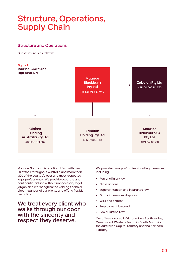### Structure, Operations, Supply Chain

#### Structure and Operations

Our structure is as follows:



Maurice Blackburn is a national firm with over 30 offices throughout Australia and more than 1,100 of the country's best and most respected legal professionals. We provide accurate and confidential advice without unnecessary legal jargon, and we recognise the varying financial circumstances of our clients and offer a flexible fee policy.

We treat every client who walks through our door with the sincerity and respect they deserve.

We provide a range of professional legal services including:

- **•** Personal injury law
- **•** Class actions
- **•** Superannuation and insurance law
- **•** Financial services disputes
- **•** Wills and estates
- **•** Employment law, and
- **•** Social Justice Law.

Our offices located in Victoria, New South Wales, Queensland, Western Australia, South Australia, the Australian Capital Territory and the Northern Territory.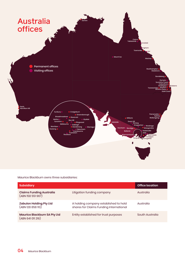

#### Maurice Blackburn owns three subsidiaries:

| <b>Subsidiary</b>                                        |                                                                                  | <b>Office location</b> |
|----------------------------------------------------------|----------------------------------------------------------------------------------|------------------------|
| <b>Claims Funding Australia</b><br>(ABN 158 551 967)     | Litigation funding company                                                       | Australia              |
| <b>Zabulon Holding Pty Ltd</b><br>(ABN 128 858 113)      | A holding company established to hold<br>shares for Claims Funding International | Australia              |
| <b>Maurice Blackburn SA Pty Ltd</b><br>(ABN 641 011 216) | Entity established for trust purposes                                            | South Australia        |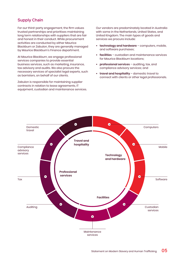#### Supply Chain

For our third-party engagement, the firm values trusted partnerships and prioritises maintaining long term relationships with suppliers that are fair and honest in their conduct. While procurement activities are conducted by either Maurice Blackburn or Zabulon, they are generally managed by Maurice Blackburn's Finance department.

At Maurice Blackburn, we engage professional services companies to provide essential business services, such as marketing, insurance, tax advisory and audits. We also procure the necessary services of specialist legal experts, such as barristers, on behalf of our clients.

Zabulon is responsible for maintaining supplier contracts in relation to lease agreements, IT equipment, custodian and maintenance services.

Our vendors are predominately located in Australia with some in the Netherlands, United States, and United Kingdom. The main types of goods and services we procure include:

- **• technology and hardware** computers, mobile, and software purchases;
- **• facilities** custodian and maintenance services for Maurice Blackburn locations;
- **• professional services** auditing, tax, and compliance advisory services; and
- **• travel and hospitality** domestic travel to connect with clients or other legal professionals.

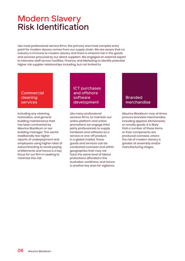### Modern Slavery Risk Identification

Like most professional service firms, the primary and most complex entry point for modern slavery comes from our supply chain. We are aware that no industry is immune to modern slavery and there is inherent risk in the goods and services procured by our direct suppliers. We engaged an external expert to interview staff across Facilities, Finance, and Marketing to identify potential higher risk supplier relationships including, but not limited to:

#### **Commercial** cleaning services

Including any cleaning, restoration, and general building maintenance that has been contracted by Maurice Blackburn or our building manager. This sector traditionally has higher reports of underpayment and employees using higher rates of subcontracting to avoid paying entitlements and hence is a key focus for our firm in seeking to minimise this risk<sup>1</sup>. .

ICT purchases and offshore software development

Like many professional services firms, to maintain our online platform and online promotions we engage third party professionals to supply hardware and software as a service or one-off product. In a global market, these goods and services can be conducted overseas and within geographies that may not have the same level of labour protections afforded in the Australian workforce, and hence is another key area for vigilance.

#### Branded merchandise

Maurice Blackburn may at times procure branded merchandise, including apparel, kitchenware, or novelty goods. It is likely that a number of these items or their components are produced overseas, where the risk of modern slavery is greater at assembly and/or manufacturing stages.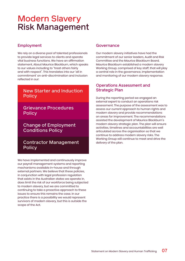### Modern Slavery Risk Management

#### Employment

We rely on a diverse pool of talented professionals to provide legal services to clients and operate vital business functions. We have an affirmation statement, About Maurice Blackburn, which speaks to our values including to "treat others fairly and with respect". This translates into our 'all in commitment' on anti-discrimination and inclusion reflected in our:

#### New Starter and Induction **Policy**

#### Grievance Procedures **Policy**

Change of Employment Conditions Policy

#### Contractor Management **Policy**

We have implemented and continuously improve our payroll management systems and reporting mechanisms available in-house and through external partners. We believe that these policies, in conjunction with legal profession regulation that exists in the Australian states we operate in, does limit the risk of our workforce being subjected to modern slavery, but we are committed to continuing to take a proactive approach to these issues to ensure this remains the case. In our practice there is a possibility we would represent survivors of modern slavery, but this is outside the scope of the Act.

#### Governance

Our modern slavery initiatives have had the commitment of our senior leaders, Audit and Risk Committee and the Maurice Blackburn Board. Maurice Blackburn established a modern slavery Working Group, comprised of key staff, that will play a central role in the governance, implementation and monitoring of our modern slavery response.

#### Operations Assessment and Strategic Plan

During the reporting period we engaged an external expert to conduct an operations risk assessment. The purpose of the assessment was to assess our current approach to human rights and modern slavery and provide recommendations on areas for improvement. The recommendations assisted the development of Maurice Blackburn's modern slavery strategic plan. The plan will ensure activities, timelines and accountabilities are well articulated across the organisation so that we continue to address modern slavery risks. The Working Group will continue to meet and drive the delivery of the plan.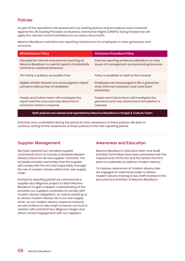#### Policies

As part of the operations risk assessment our existing policies and procedures were reviewed against the UN Guiding Principles on Business and Human Rights (UNGPs). Going forward we will apply the relevant recommendations to our policy documents.

Maurice Blackburn maintains two reporting mechanisms for employees to raise grievances and concerns:

| <b>Whistleblower Policy</b>                                                                                                              | <b>Grievance Procedure Policy</b>                                                                         |  |  |
|------------------------------------------------------------------------------------------------------------------------------------------|-----------------------------------------------------------------------------------------------------------|--|--|
| Intended for internal and external reporting at<br>Maurice Blackburn to submit reports of potentially<br>criminal or unethical behaviour | Internal reporting at Maurice Blackburn to raise<br>issues of management and personal grievances          |  |  |
| The Policy is publicly accessible here                                                                                                   | Policy is available to staff on the intranet                                                              |  |  |
| Eligible whistle-blowers are encouraged to report<br>concerns without fear of retaliation                                                | Employees are encouraged to file a grievance<br>when informal resolution tools have been<br>exhausted     |  |  |
| People and Culture team will investigate the<br>report and the issue and may determine if<br>corrective action is required               | People and Culture team will investigate the<br>grievance and may determine if remediation is<br>required |  |  |
| Both policies are owned and operated by Maurice Blackburn's People & Culture Team                                                        |                                                                                                           |  |  |

Activities were undertaken during the period to raise awareness of these policies. We plan to continue raising further awareness of these policies in the next reporting period.

#### Supplier Management

We have updated our standard supplier contractual terms to include a template Modern Slavery clause for all new supplier contracts. The template includes warranties that the supplier will comply with the Act and responsibly manage the risk of modern slavery within their own supply chain.

During the reporting period we commenced a supplier due diligence project to allow Maurice Blackburn to gain a deeper understanding of the activities our suppliers undertake to comply with modern slavery obligations, as well as assisting us to assess modern slavery risk in our own supply chain. As our modern slavery response matures, we will continue to take steps to assure our trust in vendors with practical due diligence stages and direct, honest engagement with our suppliers.

#### Awareness and Education

Maurice Blackburn's executive team and Audit and Risk Committee have been presented with the requirements of the Act and the actions the firm plans to undertake to address modern slavery.

To improve awareness of modern slavery risks we engaged an external provider to deliver modern slavery training to key staff involved in the procurement activities of Maurice Blackburn.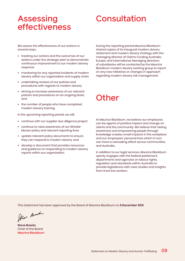### Assessing effectiveness

# **Consultation**

We assess the effectiveness of our actions in several ways:

- **•** tracking our actions and the outcomes of our actions under the strategic plan to demonstrate continuous improvement to our modern slavery response
- **•** monitoring for any reported incidents of modern slavery within our organisation and supply chain
- **•** undertaking reviews of our policies and procedures with regards to modern slavery
- **•** aiming to increase awareness of our relevant policies and procedures on an ongoing basis, and
- **•** the number of people who have completed modern slavery training.

In the upcoming reporting period, we will:

- **•** continue with our supplier due diligence project
- **•** continue to raise awareness of our Whistleblower policy and relevant reporting lines
- **•** update relevant policy documents to ensure they can respond to modern slavery, and
- **•** develop a document that provides resources and guidance on responding to modern slavery reports within our organisation.

During the reporting period Maurice Blackburn shared copies of its inaugural modern slavery statement and modern slavery strategy with the managing director of Claims Funding Australia, Europe, and International. Managing directors of subsidiaries will be contacted by the Maurice Blackburn modern slavery working group to report on any new initiatives or changes in approach regarding modern slavery risk management.

# **Other**

At Maurice Blackburn, we believe our employees can be agents of positive impact and change on clients and the community. We believe that raising awareness and empowering people through knowledge creates small impacts in the workplace and our employees' personal lives which in turn can have a cascading effect across communities and Australia.

In addition to our legal services, Maurice Blackburn openly engages with the federal parliament, departments and agencies on labour rights, regulation and standards within Australia to provide legislatures with case studies and insights from front line workers.

This statement has been approved by the Board of Maurice Blackburn on **6 December 2021**.

Stre Brach.

**Steve Bracks** Chair of the Board **Maurice Blackburn**